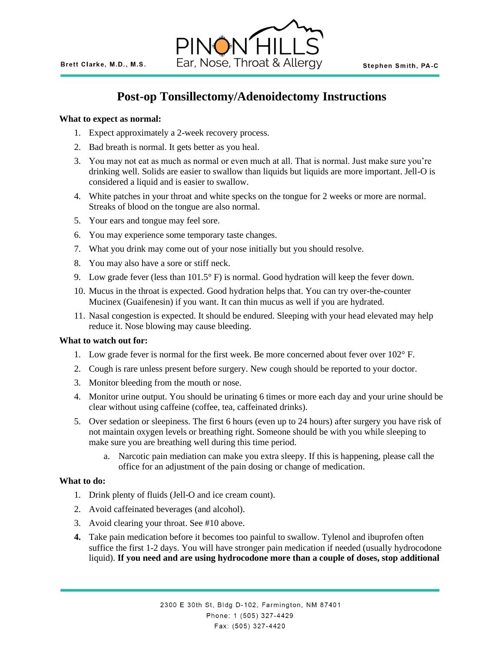

# **Post-op Tonsillectomy/Adenoidectomy Instructions**

### **What to expect as normal:**

- 1. Expect approximately a 2-week recovery process.
- 2. Bad breath is normal. It gets better as you heal.
- 3. You may not eat as much as normal or even much at all. That is normal. Just make sure you're drinking well. Solids are easier to swallow than liquids but liquids are more important. Jell-O is considered a liquid and is easier to swallow.
- 4. White patches in your throat and white specks on the tongue for 2 weeks or more are normal. Streaks of blood on the tongue are also normal.
- 5. Your ears and tongue may feel sore.
- 6. You may experience some temporary taste changes.
- 7. What you drink may come out of your nose initially but you should resolve.
- 8. You may also have a sore or stiff neck.
- 9. Low grade fever (less than  $101.5^{\circ}$  F) is normal. Good hydration will keep the fever down.
- 10. Mucus in the throat is expected. Good hydration helps that. You can try over-the-counter Mucinex (Guaifenesin) if you want. It can thin mucus as well if you are hydrated.
- 11. Nasal congestion is expected. It should be endured. Sleeping with your head elevated may help reduce it. Nose blowing may cause bleeding.

#### **What to watch out for:**

- 1. Low grade fever is normal for the first week. Be more concerned about fever over 102° F.
- 2. Cough is rare unless present before surgery. New cough should be reported to your doctor.
- 3. Monitor bleeding from the mouth or nose.
- 4. Monitor urine output. You should be urinating 6 times or more each day and your urine should be clear without using caffeine (coffee, tea, caffeinated drinks).
- 5. Over sedation or sleepiness. The first 6 hours (even up to 24 hours) after surgery you have risk of not maintain oxygen levels or breathing right. Someone should be with you while sleeping to make sure you are breathing well during this time period.
	- a. Narcotic pain mediation can make you extra sleepy. If this is happening, please call the office for an adjustment of the pain dosing or change of medication.

#### **What to do:**

- 1. Drink plenty of fluids (Jell-O and ice cream count).
- 2. Avoid caffeinated beverages (and alcohol).
- 3. Avoid clearing your throat. See #10 above.
- **4.** Take pain medication before it becomes too painful to swallow. Tylenol and ibuprofen often suffice the first 1-2 days. You will have stronger pain medication if needed (usually hydrocodone liquid). **If you need and are using hydrocodone more than a couple of doses, stop additional**